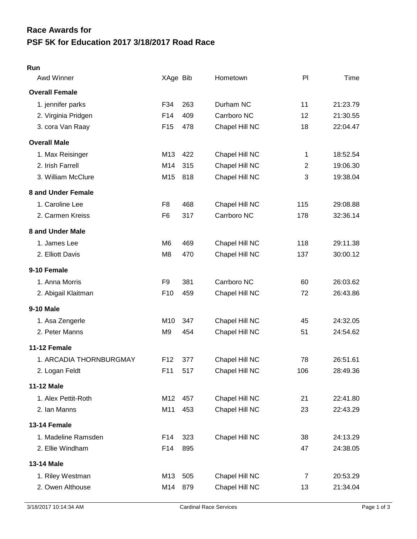## **PSF 5K for Education 2017 3/18/2017 Road Race Race Awards for**

## **Run**

| Awd Winner              | XAge Bib        |     | Hometown       | P              | Time     |
|-------------------------|-----------------|-----|----------------|----------------|----------|
| <b>Overall Female</b>   |                 |     |                |                |          |
| 1. jennifer parks       | F34             | 263 | Durham NC      | 11             | 21:23.79 |
| 2. Virginia Pridgen     | F14             | 409 | Carrboro NC    | 12             | 21:30.55 |
| 3. cora Van Raay        | F <sub>15</sub> | 478 | Chapel Hill NC | 18             | 22:04.47 |
| <b>Overall Male</b>     |                 |     |                |                |          |
| 1. Max Reisinger        | M13             | 422 | Chapel Hill NC | 1              | 18:52.54 |
| 2. Irish Farrell        | M14             | 315 | Chapel Hill NC | $\overline{2}$ | 19:06.30 |
| 3. William McClure      | M15             | 818 | Chapel Hill NC | 3              | 19:38.04 |
| 8 and Under Female      |                 |     |                |                |          |
| 1. Caroline Lee         | F <sub>8</sub>  | 468 | Chapel Hill NC | 115            | 29:08.88 |
| 2. Carmen Kreiss        | F <sub>6</sub>  | 317 | Carrboro NC    | 178            | 32:36.14 |
| 8 and Under Male        |                 |     |                |                |          |
| 1. James Lee            | M <sub>6</sub>  | 469 | Chapel Hill NC | 118            | 29:11.38 |
| 2. Elliott Davis        | M <sub>8</sub>  | 470 | Chapel Hill NC | 137            | 30:00.12 |
| 9-10 Female             |                 |     |                |                |          |
| 1. Anna Morris          | F <sub>9</sub>  | 381 | Carrboro NC    | 60             | 26:03.62 |
| 2. Abigail Klaitman     | F <sub>10</sub> | 459 | Chapel Hill NC | 72             | 26:43.86 |
| 9-10 Male               |                 |     |                |                |          |
| 1. Asa Zengerle         | M10             | 347 | Chapel Hill NC | 45             | 24:32.05 |
| 2. Peter Manns          | M <sub>9</sub>  | 454 | Chapel Hill NC | 51             | 24:54.62 |
| 11-12 Female            |                 |     |                |                |          |
| 1. ARCADIA THORNBURGMAY | F <sub>12</sub> | 377 | Chapel Hill NC | 78             | 26:51.61 |
| 2. Logan Feldt          | F11             | 517 | Chapel Hill NC | 106            | 28:49.36 |
| <b>11-12 Male</b>       |                 |     |                |                |          |
| 1. Alex Pettit-Roth     | M12             | 457 | Chapel Hill NC | 21             | 22:41.80 |
| 2. Ian Manns            | M11             | 453 | Chapel Hill NC | 23             | 22:43.29 |
| 13-14 Female            |                 |     |                |                |          |
| 1. Madeline Ramsden     | F14             | 323 | Chapel Hill NC | 38             | 24:13.29 |
| 2. Ellie Windham        | F14             | 895 |                | 47             | 24:38.05 |
| 13-14 Male              |                 |     |                |                |          |
| 1. Riley Westman        | M13             | 505 | Chapel Hill NC | $\overline{7}$ | 20:53.29 |
| 2. Owen Althouse        | M14             | 879 | Chapel Hill NC | 13             | 21:34.04 |
|                         |                 |     |                |                |          |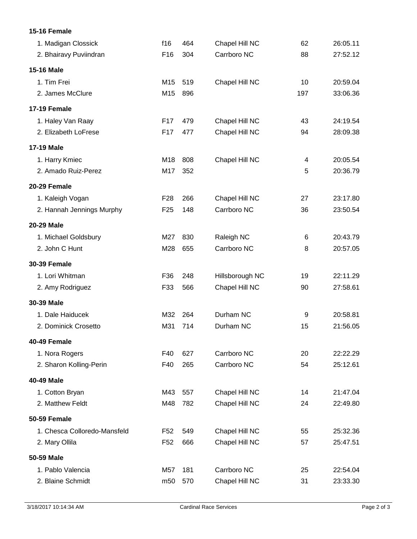## **15-16 Female**

| 1. Madigan Clossick          | f16             | 464 | Chapel Hill NC  | 62  | 26:05.11 |
|------------------------------|-----------------|-----|-----------------|-----|----------|
| 2. Bhairavy Puviindran       | F <sub>16</sub> | 304 | Carrboro NC     | 88  | 27:52.12 |
| 15-16 Male                   |                 |     |                 |     |          |
| 1. Tim Frei                  | M15             | 519 | Chapel Hill NC  | 10  | 20:59.04 |
| 2. James McClure             | M15             | 896 |                 | 197 | 33:06.36 |
| 17-19 Female                 |                 |     |                 |     |          |
| 1. Haley Van Raay            | F17             | 479 | Chapel Hill NC  | 43  | 24:19.54 |
| 2. Elizabeth LoFrese         | F <sub>17</sub> | 477 | Chapel Hill NC  | 94  | 28:09.38 |
| <b>17-19 Male</b>            |                 |     |                 |     |          |
| 1. Harry Kmiec               | M18             | 808 | Chapel Hill NC  | 4   | 20:05.54 |
| 2. Amado Ruiz-Perez          | M17             | 352 |                 | 5   | 20:36.79 |
| 20-29 Female                 |                 |     |                 |     |          |
| 1. Kaleigh Vogan             | F <sub>28</sub> | 266 | Chapel Hill NC  | 27  | 23:17.80 |
| 2. Hannah Jennings Murphy    | F <sub>25</sub> | 148 | Carrboro NC     | 36  | 23:50.54 |
| 20-29 Male                   |                 |     |                 |     |          |
| 1. Michael Goldsbury         | M27             | 830 | Raleigh NC      | 6   | 20:43.79 |
| 2. John C Hunt               | M28             | 655 | Carrboro NC     | 8   | 20:57.05 |
| <b>30-39 Female</b>          |                 |     |                 |     |          |
| 1. Lori Whitman              | F36             | 248 | Hillsborough NC | 19  | 22:11.29 |
| 2. Amy Rodriguez             | F33             | 566 | Chapel Hill NC  | 90  | 27:58.61 |
| 30-39 Male                   |                 |     |                 |     |          |
| 1. Dale Haiducek             | M32             | 264 | Durham NC       | 9   | 20:58.81 |
| 2. Dominick Crosetto         | M31             | 714 | Durham NC       | 15  | 21:56.05 |
| 40-49 Female                 |                 |     |                 |     |          |
| 1. Nora Rogers               | F40             | 627 | Carrboro NC     | 20  | 22:22.29 |
| 2. Sharon Kolling-Perin      | F40             | 265 | Carrboro NC     | 54  | 25:12.61 |
| 40-49 Male                   |                 |     |                 |     |          |
| 1. Cotton Bryan              | M43             | 557 | Chapel Hill NC  | 14  | 21:47.04 |
| 2. Matthew Feldt             | M48             | 782 | Chapel Hill NC  | 24  | 22:49.80 |
| <b>50-59 Female</b>          |                 |     |                 |     |          |
| 1. Chesca Colloredo-Mansfeld | F <sub>52</sub> | 549 | Chapel Hill NC  | 55  | 25:32.36 |
| 2. Mary Ollila               | F <sub>52</sub> | 666 | Chapel Hill NC  | 57  | 25:47.51 |
| 50-59 Male                   |                 |     |                 |     |          |
| 1. Pablo Valencia            | M57             | 181 | Carrboro NC     | 25  | 22:54.04 |
| 2. Blaine Schmidt            | m50             | 570 | Chapel Hill NC  | 31  | 23:33.30 |